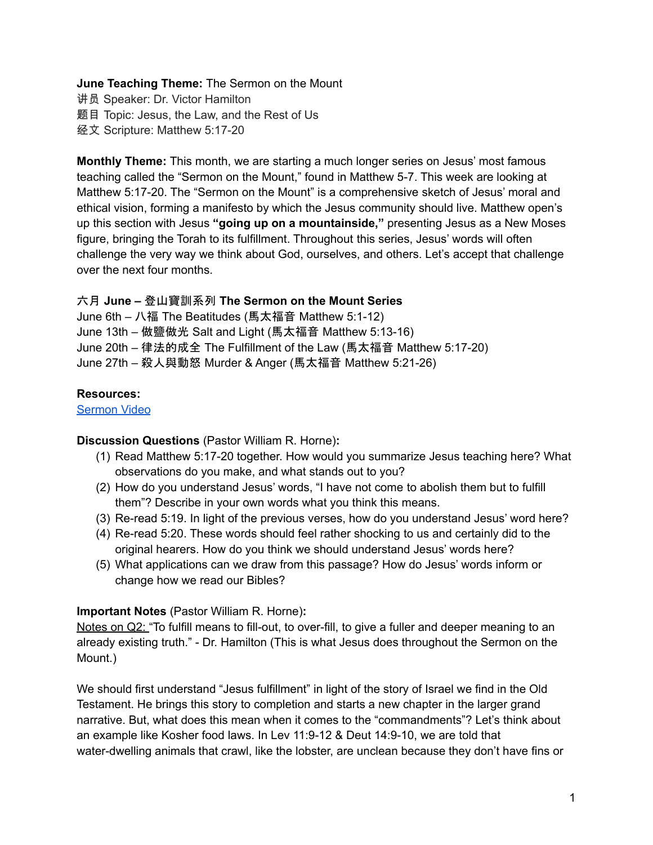### **June Teaching Theme:** The Sermon on the Mount

讲员 Speaker: Dr. Victor Hamilton 题目 Topic: Jesus, the Law, and the Rest of Us 经文 Scripture: Matthew 5:17-20

**Monthly Theme:** This month, we are starting a much longer series on Jesus' most famous teaching called the "Sermon on the Mount," found in Matthew 5-7. This week are looking at Matthew 5:17-20. The "Sermon on the Mount" is a comprehensive sketch of Jesus' moral and ethical vision, forming a manifesto by which the Jesus community should live. Matthew open's up this section with Jesus **"going up on a mountainside,"** presenting Jesus as a New Moses figure, bringing the Torah to its fulfillment. Throughout this series, Jesus' words will often challenge the very way we think about God, ourselves, and others. Let's accept that challenge over the next four months.

#### 六月 **June –** 登山寶訓系列 **The Sermon on the Mount Series**

June 6th – 八福 The Beatitudes (馬太福音 Matthew 5:1-12) June 13th – 做鹽做光 Salt and Light (馬太福音 Matthew 5:13-16) June 20th – 律法的成全 The Fulfillment of the Law (馬太福音 Matthew 5:17-20) June 27th – 殺人與動怒 Murder & Anger (馬太福音 Matthew 5:21-26)

### **Resources:**

[Sermon](https://www.youtube.com/watch?v=Bx5Ytsx4AsM) Video

# **Discussion Questions** (Pastor William R. Horne)**:**

- (1) Read Matthew 5:17-20 together. How would you summarize Jesus teaching here? What observations do you make, and what stands out to you?
- (2) How do you understand Jesus' words, "I have not come to abolish them but to fulfill them"? Describe in your own words what you think this means.
- (3) Re-read 5:19. In light of the previous verses, how do you understand Jesus' word here?
- (4) Re-read 5:20. These words should feel rather shocking to us and certainly did to the original hearers. How do you think we should understand Jesus' words here?
- (5) What applications can we draw from this passage? How do Jesus' words inform or change how we read our Bibles?

# **Important Notes** (Pastor William R. Horne)**:**

Notes on Q2: "To fulfill means to fill-out, to over-fill, to give a fuller and deeper meaning to an already existing truth." - Dr. Hamilton (This is what Jesus does throughout the Sermon on the Mount.)

We should first understand "Jesus fulfillment" in light of the story of Israel we find in the Old Testament. He brings this story to completion and starts a new chapter in the larger grand narrative. But, what does this mean when it comes to the "commandments"? Let's think about an example like Kosher food laws. In Lev 11:9-12 & Deut 14:9-10, we are told that water-dwelling animals that crawl, like the lobster, are unclean because they don't have fins or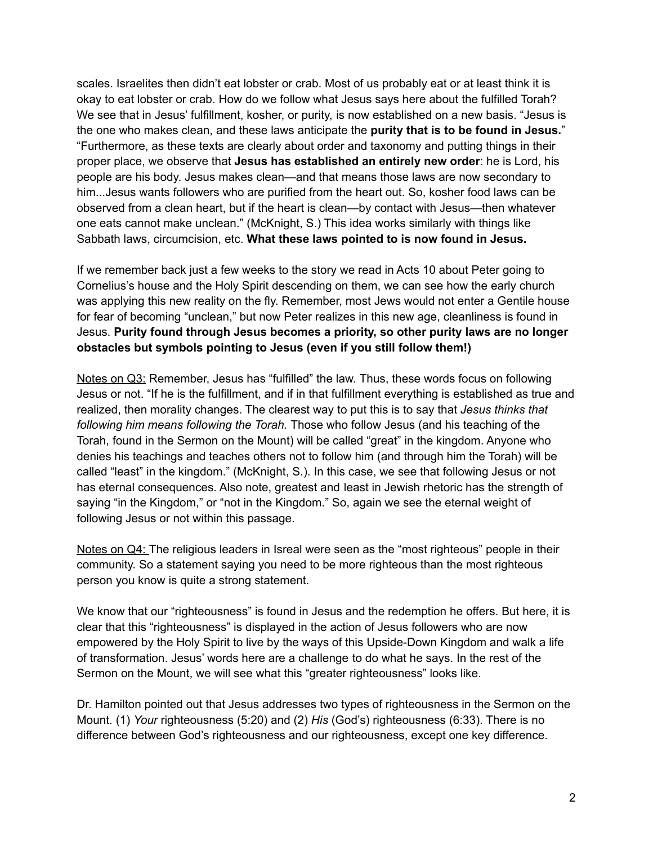scales. Israelites then didn't eat lobster or crab. Most of us probably eat or at least think it is okay to eat lobster or crab. How do we follow what Jesus says here about the fulfilled Torah? We see that in Jesus' fulfillment, kosher, or purity, is now established on a new basis. "Jesus is the one who makes clean, and these laws anticipate the **purity that is to be found in Jesus.**" "Furthermore, as these texts are clearly about order and taxonomy and putting things in their proper place, we observe that **Jesus has established an entirely new order**: he is Lord, his people are his body. Jesus makes clean—and that means those laws are now secondary to him...Jesus wants followers who are purified from the heart out. So, kosher food laws can be observed from a clean heart, but if the heart is clean—by contact with Jesus—then whatever one eats cannot make unclean." (McKnight, S.) This idea works similarly with things like Sabbath laws, circumcision, etc. **What these laws pointed to is now found in Jesus.**

If we remember back just a few weeks to the story we read in Acts 10 about Peter going to Cornelius's house and the Holy Spirit descending on them, we can see how the early church was applying this new reality on the fly. Remember, most Jews would not enter a Gentile house for fear of becoming "unclean," but now Peter realizes in this new age, cleanliness is found in Jesus. **Purity found through Jesus becomes a priority, so other purity laws are no longer obstacles but symbols pointing to Jesus (even if you still follow them!)**

Notes on Q3: Remember, Jesus has "fulfilled" the law. Thus, these words focus on following Jesus or not. "If he is the fulfillment, and if in that fulfillment everything is established as true and realized, then morality changes. The clearest way to put this is to say that *Jesus thinks that following him means following the Torah.* Those who follow Jesus (and his teaching of the Torah, found in the Sermon on the Mount) will be called "great" in the kingdom. Anyone who denies his teachings and teaches others not to follow him (and through him the Torah) will be called "least" in the kingdom." (McKnight, S.). In this case, we see that following Jesus or not has eternal consequences. Also note, greatest and least in Jewish rhetoric has the strength of saying "in the Kingdom," or "not in the Kingdom." So, again we see the eternal weight of following Jesus or not within this passage.

Notes on Q4: The religious leaders in Isreal were seen as the "most righteous" people in their community. So a statement saying you need to be more righteous than the most righteous person you know is quite a strong statement.

We know that our "righteousness" is found in Jesus and the redemption he offers. But here, it is clear that this "righteousness" is displayed in the action of Jesus followers who are now empowered by the Holy Spirit to live by the ways of this Upside-Down Kingdom and walk a life of transformation. Jesus' words here are a challenge to do what he says. In the rest of the Sermon on the Mount, we will see what this "greater righteousness" looks like.

Dr. Hamilton pointed out that Jesus addresses two types of righteousness in the Sermon on the Mount. (1) *Your* righteousness (5:20) and (2) *His* (God's) righteousness (6:33). There is no difference between God's righteousness and our righteousness, except one key difference.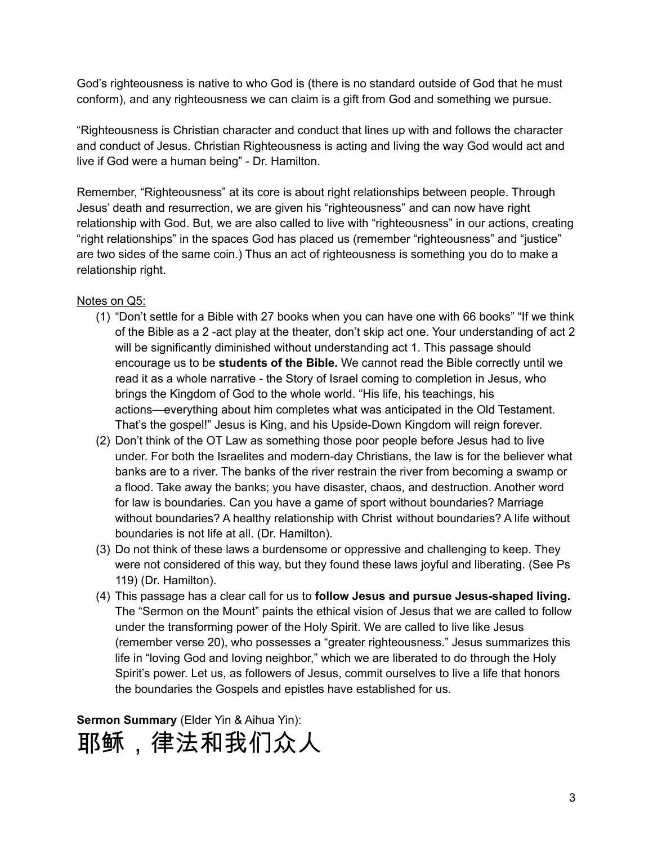God's righteousness is native to who God is (there is no standard outside of God that he must conform), and any righteousness we can claim is a gift from God and something we pursue.

"Righteousness is Christian character and conduct that lines up with and follows the character and conduct of Jesus. Christian Righteousness is acting and living the way God would act and live if God were a human being" - Dr. Hamilton.

Remember, "Righteousness" at its core is about right relationships between people. Through Jesus' death and resurrection, we are given his "righteousness" and can now have right relationship with God. But, we are also called to live with "righteousness" in our actions, creating "right relationships" in the spaces God has placed us (remember "righteousness" and "justice" are two sides of the same coin.) Thus an act of righteousness is something you do to make a relationship right.

### Notes on Q5:

- (1) "Don't settle for a Bible with 27 books when you can have one with 66 books" "If we think of the Bible as a 2 -act play at the theater, don't skip act one. Your understanding of act 2 will be significantly diminished without understanding act 1. This passage should encourage us to be **students of the Bible.** We cannot read the Bible correctly until we read it as a whole narrative - the Story of Israel coming to completion in Jesus, who brings the Kingdom of God to the whole world. "His life, his teachings, his actions—everything about him completes what was anticipated in the Old Testament. That's the gospel!" Jesus is King, and his Upside-Down Kingdom will reign forever.
- (2) Don't think of the OT Law as something those poor people before Jesus had to live under. For both the Israelites and modern-day Christians, the law is for the believer what banks are to a river. The banks of the river restrain the river from becoming a swamp or a flood. Take away the banks; you have disaster, chaos, and destruction. Another word for law is boundaries. Can you have a game of sport without boundaries? Marriage without boundaries? A healthy relationship with Christ without boundaries? A life without boundaries is not life at all. (Dr. Hamilton).
- (3) Do not think of these laws a burdensome or oppressive and challenging to keep. They were not considered of this way, but they found these laws joyful and liberating. (See Ps 119) (Dr. Hamilton).
- (4) This passage has a clear call for us to **follow Jesus and pursue Jesus-shaped living.** The "Sermon on the Mount" paints the ethical vision of Jesus that we are called to follow under the transforming power of the Holy Spirit. We are called to live like Jesus (remember verse 20), who possesses a "greater righteousness." Jesus summarizes this life in "loving God and loving neighbor," which we are liberated to do through the Holy Spirit's power. Let us, as followers of Jesus, commit ourselves to live a life that honors the boundaries the Gospels and epistles have established for us.

**Sermon Summary** (Elder Yin & Aihua Yin):

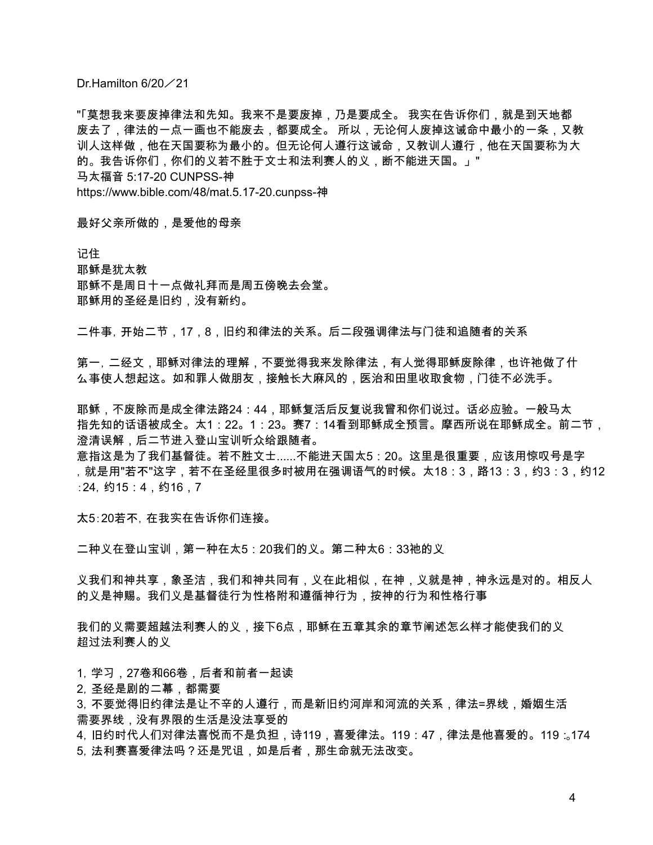Dr.Hamilton 6/20 / 21

"「莫想我来要废掉律法和先知。我来不是要废掉,乃是要成全。 我实在告诉你们,就是到天地都 废去了,律法的一点一画也不能废去,都要成全。 所以,无论何人废掉这诫命中最小的一条,又教 训人这样做,他在天国要称为最小的。但无论何人遵行这诫命,又教训人遵行,他在天国要称为大 的。我告诉你们,你们的义若不胜于文士和法利赛人的义,断不能进天国。」" 马太福音 5:17-20 CUNPSS-神 https://www.bible.com/48/mat.5.17-20.cunpss-神

最好父亲所做的,是爱他的母亲

记住 耶稣是犹太教 耶稣不是周日十一点做礼拜而是周五傍晚去会堂。 耶稣用的圣经是旧约,没有新约。

二件事,开始二节,17,8,旧约和律法的关系。后二段强调律法与门徒和追随者的关系

第一,二经文,耶稣对律法的理解,不要觉得我来发除律法,有人觉得耶稣废除律,也许祂做了什 么事使人想起这。如和罪人做朋友,接触长大麻风的,医治和田里收取食物,门徒不必洗手。

耶稣,不废除而是成全律法路24:44,耶稣复活后反复说我曾和你们说过。话必应验。一般马太 指先知的话语被成全。太1:22。1:23。赛7:14看到耶稣成全预言。摩西所说在耶稣成全。前二节, 澄清误解,后二节进入登山宝训听众给跟随者。

意指这是为了我们基督徒。若不胜文士......不能进天国太5:20。这里是很重要,应该用惊叹号是字 ,就是用"若不"这字,若不在圣经里很多时被用在强调语气的时候。太18:3,路13:3,约3:3,约12 :24,约15:4,约16,7

太5:20若不,在我实在告诉你们连接。

二种义在登山宝训,第一种在太5:20我们的义。第二种太6:33祂的义

义我们和神共享,象圣洁,我们和神共同有,义在此相似,在神,义就是神,神永远是对的。相反人 的义是神赐。我们义是基督徒行为性格附和遵循神行为,按神的行为和性格行事

我们的义需要超越法利赛人的义,接下6点,耶稣在五章其余的章节阐述怎么样才能使我们的义 超过法利赛人的义

1,学习,27卷和66卷,后者和前者一起读

2,圣经是剧的二幕,都需要

3,不要觉得旧约律法是让不辛的人遵行,而是新旧约河岸和河流的关系,律法=界线,婚姻生活 需要界线,没有界限的生活是没法享受的

4,旧约时代人们对律法喜悦而不是负担,诗119,喜爱律法。119:47,律法是他喜爱的。119:。174 5,法利赛喜爱律法吗?还是咒诅,如是后者,那生命就无法改变。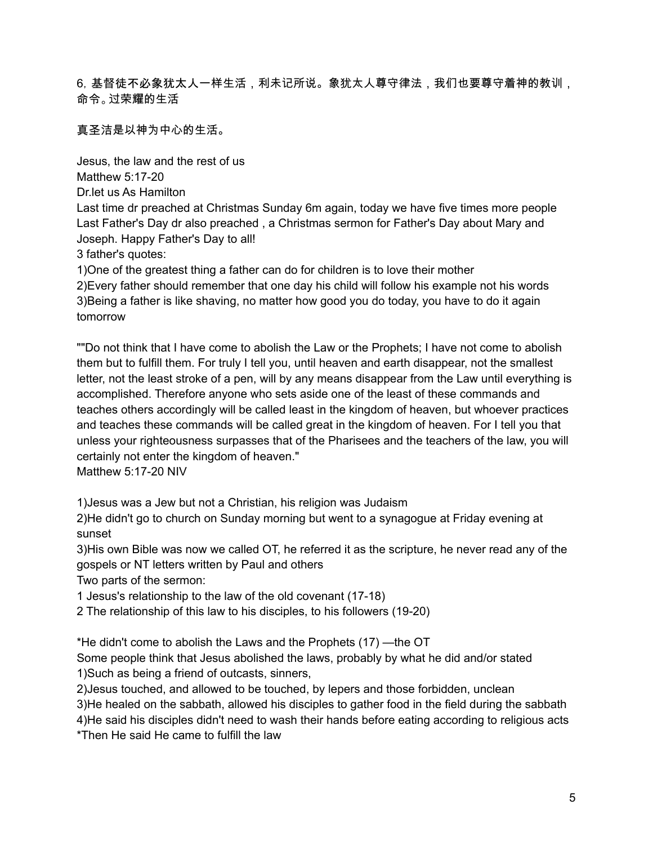6,基督徒不必象犹太人一样生活,利未记所说。象犹太人尊守律法,我们也要尊守着神的教训, 命令。过荣耀的生活

真圣洁是以神为中心的生活。

Jesus, the law and the rest of us Matthew 5:17-20

Dr.let us As Hamilton

Last time dr preached at Christmas Sunday 6m again, today we have five times more people Last Father's Day dr also preached , a Christmas sermon for Father's Day about Mary and Joseph. Happy Father's Day to all!

3 father's quotes:

1)One of the greatest thing a father can do for children is to love their mother

2)Every father should remember that one day his child will follow his example not his words 3)Being a father is like shaving, no matter how good you do today, you have to do it again tomorrow

""Do not think that I have come to abolish the Law or the Prophets; I have not come to abolish them but to fulfill them. For truly I tell you, until heaven and earth disappear, not the smallest letter, not the least stroke of a pen, will by any means disappear from the Law until everything is accomplished. Therefore anyone who sets aside one of the least of these commands and teaches others accordingly will be called least in the kingdom of heaven, but whoever practices and teaches these commands will be called great in the kingdom of heaven. For I tell you that unless your righteousness surpasses that of the Pharisees and the teachers of the law, you will certainly not enter the kingdom of heaven."

Matthew 5:17-20 NIV

1)Jesus was a Jew but not a Christian, his religion was Judaism

2)He didn't go to church on Sunday morning but went to a synagogue at Friday evening at sunset

3)His own Bible was now we called OT, he referred it as the scripture, he never read any of the gospels or NT letters written by Paul and others

Two parts of the sermon:

1 Jesus's relationship to the law of the old covenant (17-18)

2 The relationship of this law to his disciples, to his followers (19-20)

\*He didn't come to abolish the Laws and the Prophets (17) —the OT

Some people think that Jesus abolished the laws, probably by what he did and/or stated 1)Such as being a friend of outcasts, sinners,

2)Jesus touched, and allowed to be touched, by lepers and those forbidden, unclean 3)He healed on the sabbath, allowed his disciples to gather food in the field during the sabbath 4)He said his disciples didn't need to wash their hands before eating according to religious acts \*Then He said He came to fulfill the law